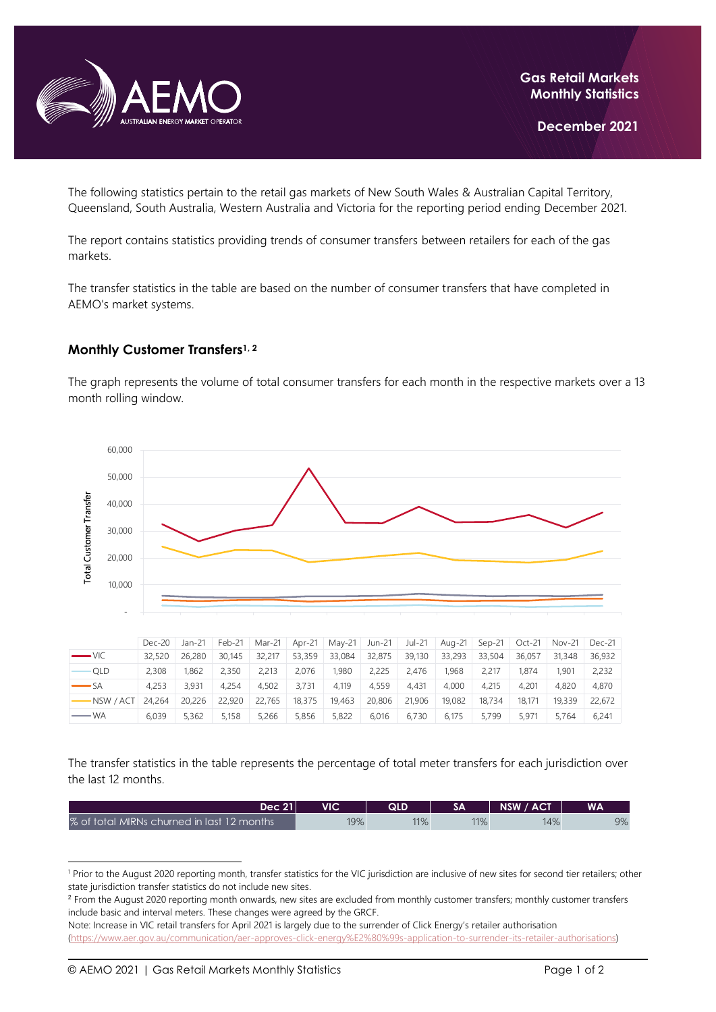

The following statistics pertain to the retail gas markets of New South Wales & Australian Capital Territory, Queensland, South Australia, Western Australia and Victoria for the reporting period ending December 2021.

The report contains statistics providing trends of consumer transfers between retailers for each of the gas markets.

The transfer statistics in the table are based on the number of consumer transfers that have completed in AEMO's market systems.

## **Monthly Customer Transfers1, <sup>2</sup>**

The graph represents the volume of total consumer transfers for each month in the respective markets over a 13 month rolling window.



|                       | Dec-20 | Jan-21 | $Feb-21$ |        |        | Mar-21   Apr-21   May-21   Jun-21   Jul-21 |        |        |        |        |        | Aug-21   Sep-21   Oct-21   Nov-21   Dec-21 |        |
|-----------------------|--------|--------|----------|--------|--------|--------------------------------------------|--------|--------|--------|--------|--------|--------------------------------------------|--------|
| $\longrightarrow$ VIC | 32,520 | 26,280 | 30.145   | 32,217 | 53,359 | 33,084                                     | 32,875 | 39,130 | 33,293 | 33,504 | 36.057 | 31,348                                     | 36.932 |
| ∙QLD                  | 2,308  | 1.862  | 2.350    | 2.213  | 2.076  | 1.980                                      | 2.225  | 2.476  | 1.968  | 2.217  | 1.874  | 1.901                                      | 2,232  |
| $S_A$                 | 4,253  | 3.931  | 4.254    | 4.502  | 3.731  | 4.119                                      | 4.559  | 4.431  | 4.000  | 4.215  | 4.201  | 4.820                                      | 4.870  |
| $-NSW / ACT$ 24.264   |        | 20,226 | 22,920   | 22.765 | 18.375 | 19.463                                     | 20,806 | 21,906 | 19,082 | 18.734 | 18.171 | 19,339                                     | 22,672 |
| — WA                  | 6.039  | 5.362  | 5.158    | 5,266  | 5,856  | 5.822                                      | 6.016  | 6.730  | 6.175  | 5.799  | 5.971  | 5.764                                      | 6.241  |

The transfer statistics in the table represents the percentage of total meter transfers for each jurisdiction over the last 12 months.

| Dec 21                                     | <b>VIC</b> | QLD |     | NSW / ACT | WA |
|--------------------------------------------|------------|-----|-----|-----------|----|
| % of total MIRNs churned in last 12 months | 19%        | 11% | 11% | 14%       | 9% |

<sup>&</sup>lt;sup>1</sup> Prior to the August 2020 reporting month, transfer statistics for the VIC jurisdiction are inclusive of new sites for second tier retailers; other state jurisdiction transfer statistics do not include new sites.

<sup>&</sup>lt;sup>2</sup> From the August 2020 reporting month onwards, new sites are excluded from monthly customer transfers; monthly customer transfers include basic and interval meters. These changes were agreed by the GRCF.

Note: Increase in VIC retail transfers for April 2021 is largely due to the surrender of Click Energy's retailer authorisation [\(https://www.aer.gov.au/communication/aer-approves-click-energy%E2%80%99s-application-to-surrender-its-retailer-authorisations\)](https://www.aer.gov.au/communication/aer-approves-click-energy%E2%80%99s-application-to-surrender-its-retailer-authorisations)